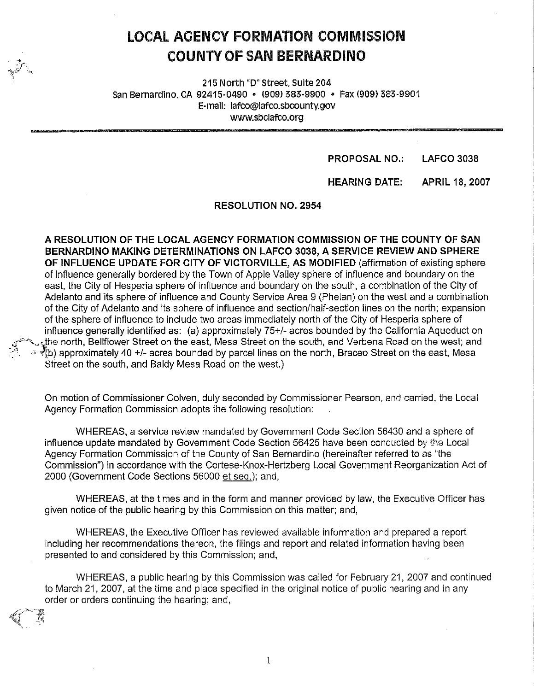# **LOCAL AOENCY FORMATION COMMISSION COUNTY OF SAN BERNARDINO**

215 North "D" street, Suite 204 San Bernardino, CA 92415-0490 • (909) 383-9900 • Fax (909) 383-9901 E-mail: lafco@lafco.sbcounty.gov www.sbclafco.org

> **PROPOSAL NO.:**  LAFCO 3038

HEARING DATE: APRIL 18, 2007

RESOLUTION NO, 2954

**A RESOLUTION OF THE LOCAL AGENCY FORMATION COMMISSION OF THE COUNTY OF SAN BERNARDINO MAKING DETERMINATIONS ON LAFCO 3038, A SERVICE REVIEW AND SPHERE OF INFLUENCE UPDATE FOR CITY OF VICTORVILLE, AS MODIFIED** (affirmation of existing sphere of influence generally bordered by the Town of Apple Valley sphere of influence and boundary on the east, the City of Hesperia sphere of influence and boundary on the south, a combination of the City of Adelanto and its sphere of influence and County Service Area 9 (Phelan) on the west and a combination of the City of Adelanto and its sphere of influence and section/half-section lines on the north; expansion of the sphere of influence to include two areas immediately north of the City of Hesperia sphere of influence generally identified as: (a) approximately 75+/- acres bounded by the California Aqueduct on the north, Bellflower Street on the east, Mesa Street on the south, and Verbena Road on the west; and  $\sqrt[4]{b}$  approximately 40 +/- acres bounded by parcel lines on the north, Braceo Street on the east, Mesa Street on the south, and Baldy Mesa Road on the west.)

On motion of Commissioner Colven, duly seconded by Commissioner Pearson, and carried, the Local Agency Formation Commission adopts the following resolution:

WHEREAS, a service review mandated by Government Code Section 56430 and a sphere of influence update mandated by Government Code Section 56425 have been conducted by the Local Agency Formation Commission of the County of San Bernardino (hereinafter referred to as ''the Commission") in accordance with the Cortese-Knox-Hertzberg Local Government Reorganization Act of 2000 (Government Code Sections 56000 et seq.); and,

WHEREAS, at the times and in the form and manner provided by law, the Executive Officer has given notice of the public hearing by this Commission on this matter; and,

WHEREAS, the Executive Officer has reviewed available information and prepared a report including her recommendations thereon, the filings and report and related information having been presented to and considered by this Commission; and,

WHEREAS, a public hearing by this Commission was called for February 21, 2007 and continued to March 21, 2007, at the time and place specified in the original notice of public hearing and in any order or orders continuing the hearing; and,

1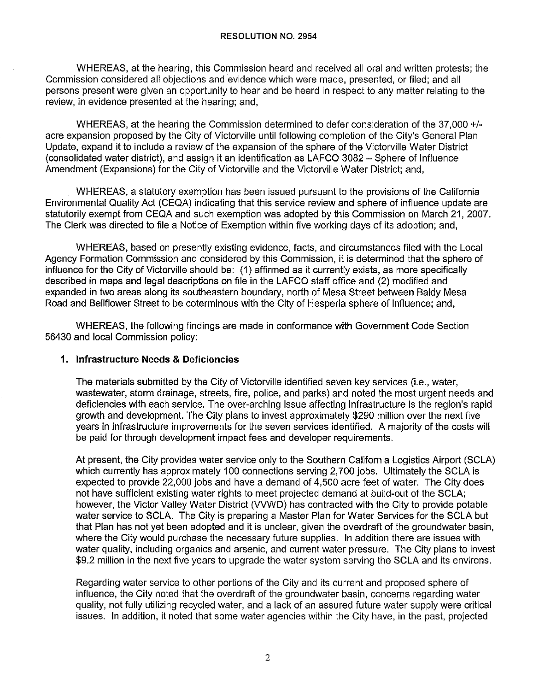WHEREAS, at the hearing, this Commission heard and received all oral and written protests; the Commission considered all objections and evidence which were made, presented, or filed; and all persons present were given an opportunity to hear and be heard in respect to any matter relating to the review, in evidence presented at the hearing; and,

WHEREAS, at the hearing the Commission determined to defer consideration of the 37,000 +/ acre expansion proposed by the City of Victorville until following completion of the City's General Plan Update, expand it to include a review of the expansion of the sphere of the Victorville Water District (consolidated water district), and assign it an identification as LAFCO 3082 - Sphere of Influence Amendment (Expansions) for the City of Victorville and the Victorville Water District; and,

WHEREAS, a statutory exemption has been issued pursuant to the provisions of the California Environmental Quality Act (CEQA) indicating that this service review and sphere of influence update are statutorily exempt from CEQA and such exemption was adopted by this Commission on March 21, 2007. The Clerk was directed to file a Notice of Exemption within five working days of its adoption; and,

WHEREAS, based on presently existing evidence, facts, and circumstances filed with the Local Agency Formation Commission and considered by this Commission, it is determined that the sphere of influence for the City of Victorville should be: (1) affirmed as it currently exists, as more specifically described in maps and legal descriptions on file in the LAFCO staff office and (2) modified and expanded in two areas along its southeastern boundary, north of Mesa Street between Baldy Mesa Road and Bellflower Street to be coterminous with the City of Hesperia sphere of influence; and,

WHEREAS, the following findings are made in conformance with Government Code Section 56430 and local Commission policy:

### **1. Infrastructure Needs & Deficiencies**

The materials submitted by the City of Victorville identified seven key services (i.e., water, wastewater, storm drainage, streets, fire, police, and parks) and noted the most urgent needs and deficiencies with each service. The over-arching issue affecting infrastructure is the region's rapid growth and development. The City plans to invest approximately \$290 million over the next five years in infrastructure improvements for the seven services identified. A majority of the costs will be paid for through development impact fees and developer requirements.

At present, the City provides water service only to the Southern California Logistics Airport (SCLA) which currently has approximately 100 connections serving 2,700 jobs. Ultimately the SCLA is expected to provide 22,000 jobs and have a demand of 4,500 acre feet of water. The City does not have sufficient existing water rights to meet projected demand at build-out of the SCLA; however, the Victor Valley Water District (VVWD) has contracted with the City to provide potable water service to SCLA. The City is preparing a Master Plan for Water Services for the SCLA but that Plan has not yet been adopted and it is unclear, given the overdraft of the groundwater basin, where the City would purchase the necessary future supplies. In addition there are issues with water quality, including organics and arsenic, and current water pressure. The City plans to invest \$9.2 million in the next five years to upgrade the water system serving the SCLA and its environs.

Regarding water service to other portions of the City and its current and proposed sphere of influence, the City noted that the overdraft of the groundwater basin, concerns regarding water quality, not fully utilizing recycled water, and a lack of an assured future water supply were critical issues. In addition, it noted that some water agencies within the City have, in the past, projected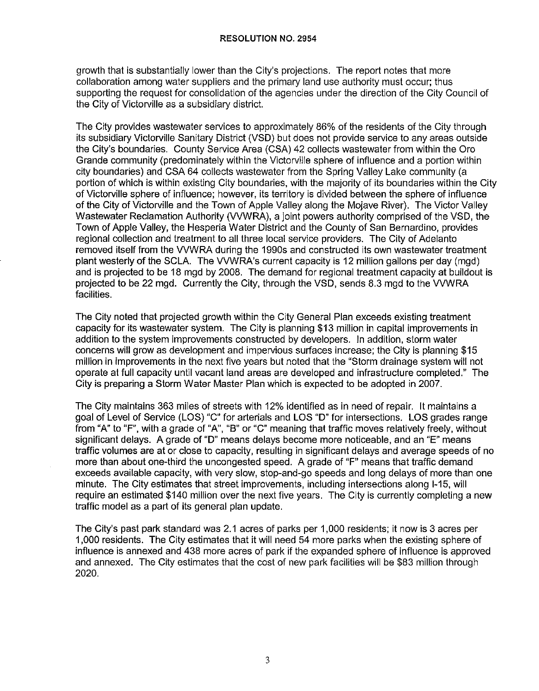growth that is substantially lower than the City's projections. The report notes that more collaboration among water suppliers and the primary land use authority must occur; thus supporting the request for consolidation of the agencies under the direction of the City Council of the City of Victorville as a subsidiary district.

The City provides wastewater services to approximately 86% of the residents of the City through its subsidiary Victorville Sanitary District (VSD) but does not provide service to any areas outside the City's boundaries. County Service Area (CSA) 42 collects wastewater from within the Oro Grande community (predominately within the Victorville sphere of influence and a portion within city boundaries) and CSA 64 collects wastewater from the Spring Valley Lake community (a portion of which is within existing City boundaries, with the majority of its boundaries within the City of Victorville sphere of influence; however, its territory is divided between the sphere of influence of the City of Victorville and the Town of Apple Valley along the Mojave River). The Victor Valley Wastewater Reclamation Authority (VVWRA), a joint powers authority comprised of the VSD, the Town of Apple Valley, the Hesperia Water District and the County of San Bernardino, provides regional collection and treatment to all three local service providers. The City of Adelanto removed itself from the WWRA during the 1990s and constructed its own wastewater treatment plant westerly of the SCLA. The WWRA's current capacity is 12 million gallons per day (mgd} and is projected to be 18 mgd by 2008. The demand for regional treatment capacity at buildout is projected to be 22 mgd. Currently the City, through the VSD, sends 8.3 mgd to the WWRA facilities.

The City noted that projected growth within the City General Plan exceeds existing treatment capacity for its wastewater system. The City is planning \$13 million in capital improvements in addition to the system improvements constructed by developers. In addition, storm water concerns will grow as development and impervious surfaces increase; the City is planning \$15 million in improvements in the next five years but noted that the "Storm drainage system will not operate at full capacity until vacant land areas are developed and infrastructure completed." The City is preparing a Storm Water Master Plan which is expected to be adopted in 2007.

The City maintains 363 miles of streets with 12% identified as in need of repair. It maintains a goal of Level of Service (LOS) "C" for arterials and LOS "D" for intersections. LOS grades range from "A" to "F", with a grade of "A", "B" or "C" meaning that traffic moves relatively freely, without significant delays. A grade of "D" means delays become more noticeable, and an "E" means traffic volumes are at or close to capacity, resulting in significant delays and average speeds of no more than about one-third the uncongested speed. A grade of "F" means that traffic demand exceeds available capacity, with very slow, stop-and-go speeds and long delays of more than one minute. The City estimates that street improvements, including intersections along 1-15, will require an estimated \$140 million over the next five years. The City is currently completing a new traffic model as a part of its general plan update.

The City's past park standard was 2.1 acres of parks per 1,000 residents; it now is 3 acres per 1,000 residents. The City estimates that it will need 54 more parks when the existing sphere of influence is annexed and 438 more acres of park if the expanded sphere of influence is approved and annexed. The City estimates that the cost of new park facilities will be \$83 million through 2020.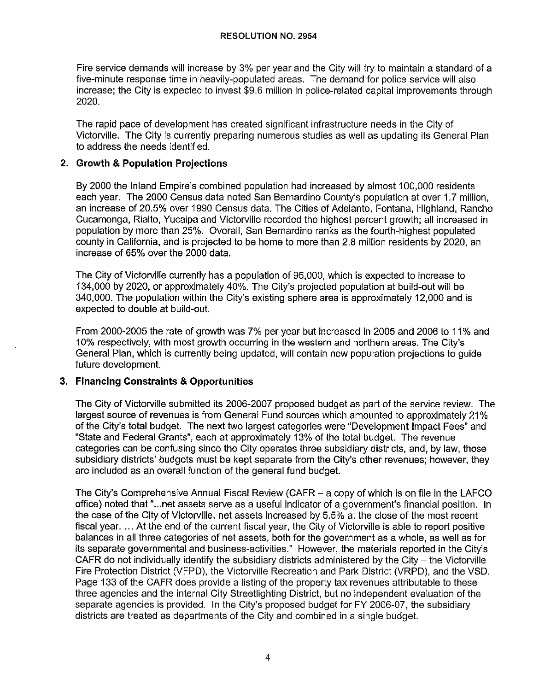Fire service demands will increase by 3% per year and the City will try to maintain a standard of a five-minute response time in heavily-populated areas. The demand for police service will also increase; the City is expected to invest \$9.6 million in police-related capital improvements through 2020.

The rapid pace of development has created significant infrastructure needs in the City of Victorville. The City is currently preparing numerous studies as well as updating its General Plan to address the needs identified.

## **2. Growth & Population Projections**

By 2000 the Inland Empire's combined population had increased by almost 100,000 residents each year. The 2000 Census data noted San Bernardino County's population at over 1.7 million, an increase of 20.5% over 1990 Census data. The Cities of Adelanto, Fontana, Highland, Rancho Cucamonga, Rialto, Yucaipa and Victorville recorded the highest percent growth; all increased in population by more than 25%. Overall, San Bernardino ranks as the fourth-highest populated county in California, and is projected to be home to more than 2.8 million residents by 2020, an increase of 65% over the 2000 data.

The City of Victorville currently has a population of 95,000, which is expected to increase to 134,000 by 2020, or approximately 40%. The City's projected population at build-out will be 340,000. The population within the City's existing sphere area is approximately 12,000 and is expected to double at build-out.

From 2000-2005 the rate of growth was 7% per year but increased in 2005 and 2006 to 11% and 10% respectively, with most growth occurring in the western and northern areas. The City's General Plan, which is currently being updated, will contain new population projections to guide future development.

## **3. Financing Constraints & Opportunities**

The City of Victorville submitted its 2006-2007 proposed budget as part of the service review. The largest source of revenues is from General Fund sources which amounted to approximately 21% of the City's total budget. The next two largest categories were "Development Impact Fees" and "State and Federal Grants", each at approximately 13% of the total budget. The revenue categories can be confusing since the City operates three subsidiary districts, and, by law, those subsidiary districts' budgets must be kept separate from the City's other revenues; however, they are included as an overall function of the general fund budget.

The City's Comprehensive Annual Fiscal Review (CAFR  $-$  a copy of which is on file in the LAFCO office) noted that " ... net assets serve as a useful indicator of a government's financial position. In the case of the City of Victorville, net assets increased by 5.5% at the close of the most recent fiscal year. ... At the end of the current fiscal year, the City of Victorville is able to report positive balances in all three categories of net assets, both for the government as a whole, as well as for its separate governmental and business-activities." However, the materials reported in the City's CAFR do not individually identify the subsidiary districts administered by the City  $-$  the Victorville Fire Protection District (VFPD), the Victorville Recreation and Park District (VRPD), and the VSD. Page 133 of the CAFR does provide a listing of the property tax revenues attributable to these three agencies and the internal City Streetlighting District, but no independent evaluation of the separate agencies is provided. In the City's proposed budget for FY 2006-07, the subsidiary districts are treated as departments of the City and combined in a single budget.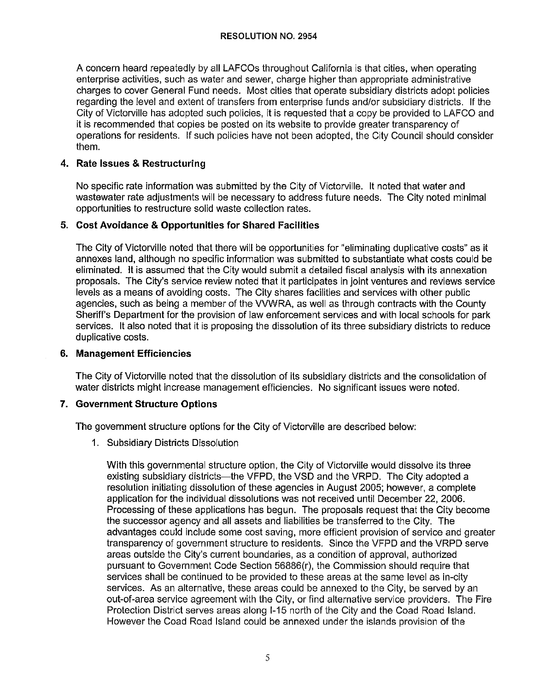A concern heard repeatedly by all LAFCOs throughout California is that cities, when operating enterprise activities, such as water and sewer, charge higher than appropriate administrative charges to cover General Fund needs. Most cities that operate subsidiary districts adopt policies regarding the level and extent of transfers from enterprise funds and/or subsidiary districts. If the City of Victorville has adopted such policies, it is requested that a copy be provided to LAFCO and it is recommended that copies be posted on its website to provide greater transparency of operations for residents. If such policies have not been adopted, the City Council should consider them.

## **4. Rate Issues & Restructuring**

No specific rate information was submitted by the City of Victorville. It noted that water and wastewater rate adjustments will be necessary to address future needs. The City noted minimal opportunities to restructure solid waste collection rates.

## **5. Cost Avoidance & Opportunities for Shared Facilities**

The City of Victorville noted that there will be opportunities for "eliminating duplicative costs" as it annexes land, although no specific information was submitted to substantiate what costs could be eliminated. It is assumed that the City would submit a detailed fiscal analysis with its annexation proposals. The City's service review noted that it participates in joint ventures and reviews service levels as a means of avoiding costs. The City shares facilities and services with other public agencies, such as being a member of the WWRA, as well as through contracts with the County Sheriff's Department for the provision of law enforcement services and with local schools for park services. It also noted that it is proposing the dissolution of its three subsidiary districts to reduce duplicative costs.

## **6. Management Efficiencies**

The City of Victorville noted that the dissolution of its subsidiary districts and the consolidation of water districts might increase management efficiencies. No significant issues were noted.

## **7. Government Structure Options**

The government structure options for the City of Victorville are described below:

1. Subsidiary Districts Dissolution

With this governmental structure option, the City of Victorville would dissolve its three existing subsidiary districts-the VFPD, the VSD and the VRPD. The City adopted a resolution initiating dissolution of these agencies in August 2005; however, a complete application for the individual dissolutions was not received until December 22, 2006. Processing of these applications has begun. The proposals request that the City become the successor agency and all assets and liabilities be transferred to the City. The advantages could include some cost saving, more efficient provision of service and greater transparency of government structure to residents. Since the VFPD and the VRPD serve areas outside the City's current boundaries, as a condition of approval, authorized pursuant to Government Code Section 56886(r), the Commission should require that services shall be continued to be provided to these areas at the same level as in-city services. As an alternative, these areas could be annexed to the City, be served by an out-of-area service agreement with the City, or find alternative service providers. The Fire Protection District serves areas along 1-15 north of the City and the Coad Road Island. However the Coad Road Island could be annexed under the islands provision of the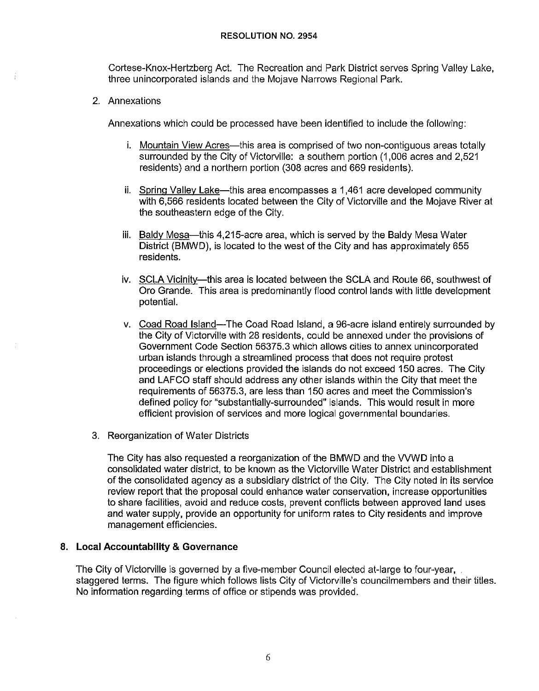Cortese-Knox-Hertzberg Act. The Recreation and Park District serves Spring Valley Lake, three unincorporated islands and the Mojave Narrows Regional Park.

2. Annexations

Annexations which could be processed have been identified to include the following:

- i. Mountain View Acres—this area is comprised of two non-contiguous areas totally surrounded by the City of Victorville: a southern portion (1,006 acres and 2,521 residents) and a northern portion (308 acres and 669 residents).
- ii. Spring Valley Lake-this area encompasses a 1,461 acre developed community with 6,566 residents located between the City of Victorville and the Mojave River at the southeastern edge of the City.
- iii. Baldy Mesa—this 4,215-acre area, which is served by the Baldy Mesa Water District (BMWD), is located to the west of the City and has approximately 655 residents.
- iv. SCLA Vicinity-this area is located between the SCLA and Route 66, southwest of Oro Grande. This area is predominantly flood control lands with little development potential.
- v. Coad Road Island-The Coad Road Island, a 96-acre island entirely surrounded by the City of Victorville with 28 residents, could be annexed under the provisions of Government Code Section 56375.3 which allows cities to annex unincorporated urban islands through a streamlined process that does not require protest proceedings or elections provided the islands do not exceed 150 acres. The City and LAFCO staff should address any other islands within the City that meet the requirements of 56375.3, are less than 150 acres and meet the Commission's defined policy for "substantially-surrounded" islands. This would result in more efficient provision of services and more logical governmental boundaries.
- 3. Reorganization of Water Districts

The City has also requested a reorganization of the BMWD and the WWD into a consolidated water district, to be known as the Victorville Water District and establishment of the consolidated agency as a subsidiary district of the City. The City noted in its service review report that the proposal could enhance water conservation, increase opportunities to share facilities, avoid and reduce costs, prevent conflicts between approved land uses and water supply, provide an opportunity for uniform rates to City residents and improve management efficiencies.

### **8. Local Accountability & Governance**

The City of Victorville is governed by a five-member Council elected at-large to four-year, staggered terms. The figure which follows lists City of Victorville's councilmembers and their titles. No information regarding terms of office or stipends was provided.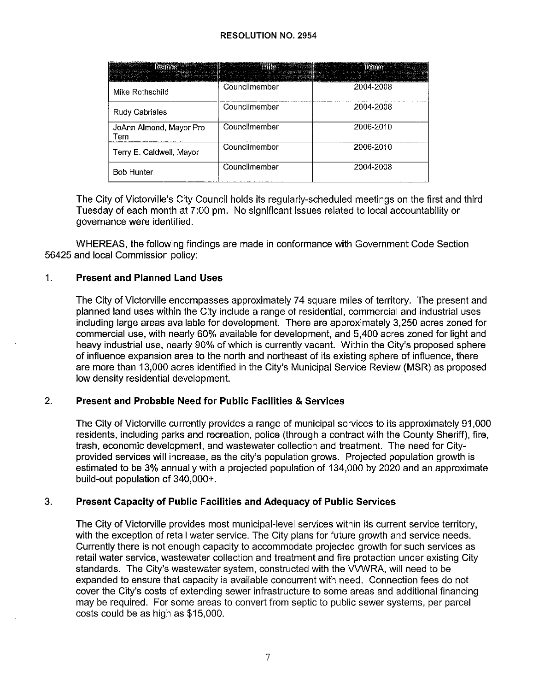| <b>Experimental International Property</b> | <u>s an amhair an s</u> | $\log_{100}$ |
|--------------------------------------------|-------------------------|--------------|
| Mike Rothschild                            | Councilmember           | 2004-2008    |
| Rudy Cabriales                             | Councilmember           | 2004-2008    |
| JoAnn Almond, Mayor Pro<br>Tem             | Councilmember           | 2006-2010    |
| Terry E. Caldwell, Mayor                   | Councilmember           | 2006-2010    |
| <b>Bob Hunter</b>                          | Councilmember           | 2004-2008    |

The City of Victorville's City Council holds its regularly-scheduled meetings on the first and third Tuesday of each month at 7:00 pm. No significant issues related to local accountability or governance were identified.

WHEREAS, the following findings are made in conformance with Government Code Section 56425 and local Commission policy:

### 1. **Present and Planned Land Uses**

The City of Victorville encompasses approximately 74 square miles of territory. The present and planned land uses within the City include a range of residential, commercial and industrial uses including large areas available for development. There are approximately 3,250 acres zoned for commercial use, with nearly 60% available for development, and 5,400 acres zoned for light and heavy industrial use, nearly 90% of which is currently vacant. Within the City's proposed sphere of influence expansion area to the north and northeast of its existing sphere of influence, there are more than 13,000 acres identified in the City's Municipal Service Review (MSR) as proposed low density residential development.

### 2. **Present and Probable Need for Public Facilities & Services**

The City of Victorville currently provides a range of municipal services to its approximately 91,000 residents, including parks and recreation, police (through a contract with the County Sheriff), fire, trash, economic development, and wastewater collection and treatment. The need for Cityprovided services will increase, as the city's population grows. Projected population growth is estimated to be 3% annually with a projected population of 134,000 by 2020 and an approximate build-out population of 340,000+.

## 3. **Present Capacity of Public Facilities and Adequacy of Public Services**

The City of Victorville provides most municipal-level services within its current service territory, with the exception of retail water service. The City plans for future growth and service needs. Currently there is not enough capacity to accommodate projected growth for such services as retail water service, wastewater collection and treatment and fire protection under existing City standards. The City's wastewater system, constructed with the WWRA, will need to be expanded to ensure that capacity is available concurrent with need. Connection fees do not cover the City's costs of extending sewer infrastructure to some areas and additional financing may be required. For some areas to convert from septic to public sewer systems, per parcel costs could be as high as \$15,000.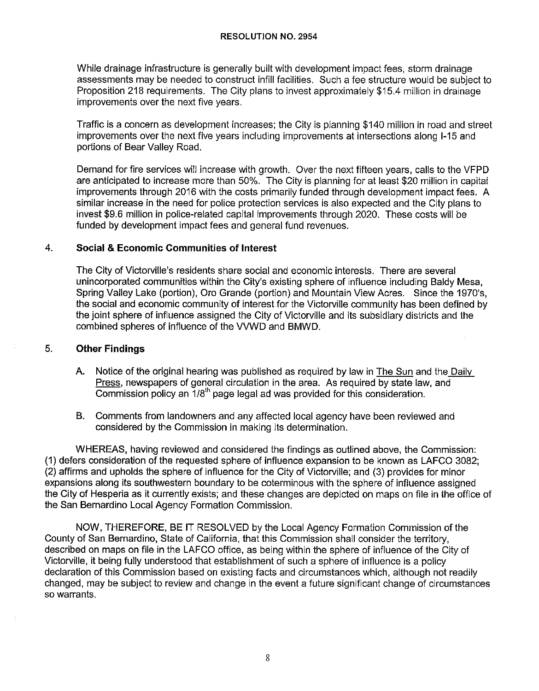While drainage infrastructure is generally built with development impact fees, storm drainage assessments may be needed to construct infill facilities. Such a fee structure would be subject to Proposition 218 requirements. The City plans to invest approximately \$15.4 million in drainage improvements over the next five years.

Traffic is a concern as development increases; the City is planning \$140 million in road and street improvements over the next five years including improvements at intersections along 1-15 and portions of Bear Valley Road.

Demand for fire services will increase with growth. Over the next fifteen years, calls to the VFPD are anticipated to increase more than 50%. The City is planning for at least \$20 million in capital improvements through 2016 with the costs primarily funded through development impact fees. A similar increase in the need for police protection services is also expected and the City plans to invest \$9.6 million in police-related capital improvements through 2020. These costs will be funded by development impact fees and general fund revenues.

### 4. **Social & Economic Communities of Interest**

The City of Victorville's residents share social and economic interests. There are several unincorporated communities within the City's existing sphere of influence including Baldy Mesa, Spring Valley Lake (portion), Oro Grande (portion) and Mountain View Acres. Since the 1970's, the social and economic community of interest for the Victorville community has been defined by the joint sphere of influence assigned the City of Victorville and its subsidiary districts and the combined spheres of influence of the VVWD and BMWD.

### 5. **Other Findings**

- A. Notice of the original hearing was published as required by law in The Sun and the Daily Press, newspapers of general circulation in the area. As required by state law, and Commission policy an  $1/8^{\text{th}}$  page legal ad was provided for this consideration.
- B. Comments from landowners and any affected local agency have been reviewed and considered by the Commission in making its determination.

WHEREAS, having reviewed and considered the findings as outlined above, the Commission: (1) defers consideration of the requested sphere of influence expansion to be known as LAFCO 3082; (2) affirms and upholds the sphere of influence for the City of Victorville; and (3) provides for minor expansions along its southwestern boundary to be coterminous with the sphere of influence assigned the City of Hesperia as it currently exists; and these changes are depicted on maps on file in the office of the San Bernardino Local Agency Formation Commission.

NOW, THEREFORE, BE IT RESOLVED by the Local Agency Formation Commission of the County of San Bernardino, State of California, that this Commission shall consider the territory, described on maps on file in the LAFCO office, as being within the sphere of influence of the City of Victorville, it being fully understood that establishment of such a sphere of influence is a policy declaration of this Commission based on existing facts and circumstances which, although not readily changed, may be subject to review and change in the event a future significant change of circumstances so warrants.